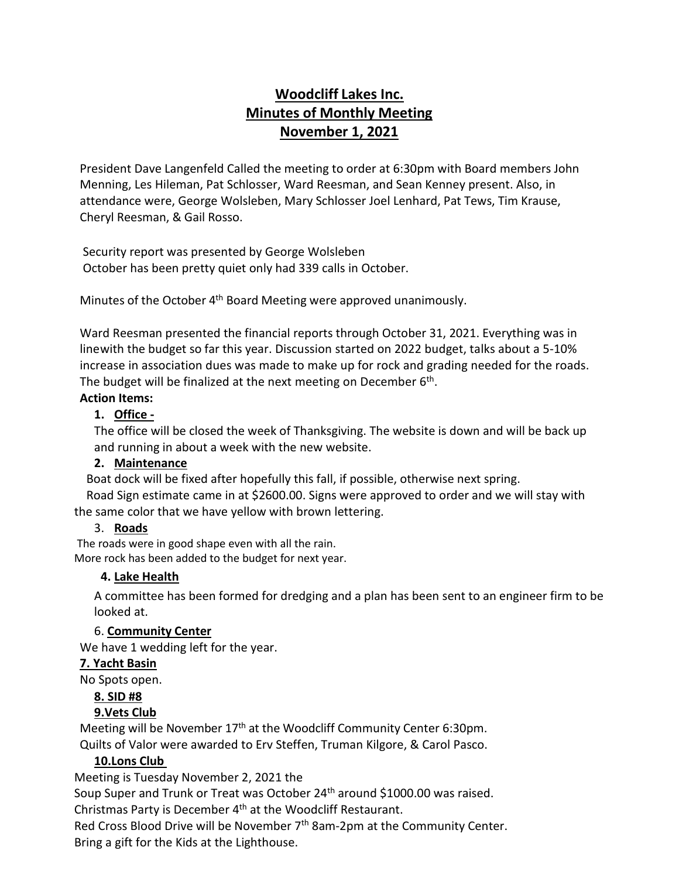# **Woodcliff Lakes Inc. Minutes of Monthly Meeting November 1, 2021**

President Dave Langenfeld Called the meeting to order at 6:30pm with Board members John Menning, Les Hileman, Pat Schlosser, Ward Reesman, and Sean Kenney present. Also, in attendance were, George Wolsleben, Mary Schlosser Joel Lenhard, Pat Tews, Tim Krause, Cheryl Reesman, & Gail Rosso.

Security report was presented by George Wolsleben October has been pretty quiet only had 339 calls in October.

Minutes of the October 4<sup>th</sup> Board Meeting were approved unanimously.

Ward Reesman presented the financial reports through October 31, 2021. Everything was in line with the budget so far this year. Discussion started on 2022 budget, talks about a 5-10% increase in association dues was made to make up for rock and grading needed for the roads. The budget will be finalized at the next meeting on December  $6<sup>th</sup>$ .

#### **Action Items:**

# **1. Office -**

The office will be closed the week of Thanksgiving. The website is down and will be back up and running in about a week with the new website.

#### **2. Maintenance**

Boat dock will be fixed after hopefully this fall, if possible, otherwise next spring.

 Road Sign estimate came in at \$2600.00. Signs were approved to order and we will stay with the same color that we have yellow with brown lettering.

#### 3. **Roads**

The roads were in good shape even with all the rain. More rock has been added to the budget for next year.

# **4. Lake Health**

A committee has been formed for dredging and a plan has been sent to an engineer firm to be looked at.

#### 6. **Community Center**

We have 1 wedding left for the year.

#### **7. Yacht Basin**

No Spots open.

# **8. SID #8**

# **9.Vets Club**

Meeting will be November  $17<sup>th</sup>$  at the Woodcliff Community Center 6:30pm. Quilts of Valor were awarded to Erv Steffen, Truman Kilgore, & Carol Pasco.

# **10.Lons Club**

Meeting is Tuesday November 2, 2021 the

Soup Super and Trunk or Treat was October 24<sup>th</sup> around \$1000.00 was raised.

Christmas Party is December 4th at the Woodcliff Restaurant.

Red Cross Blood Drive will be November 7<sup>th</sup> 8am-2pm at the Community Center. Bring a gift for the Kids at the Lighthouse.